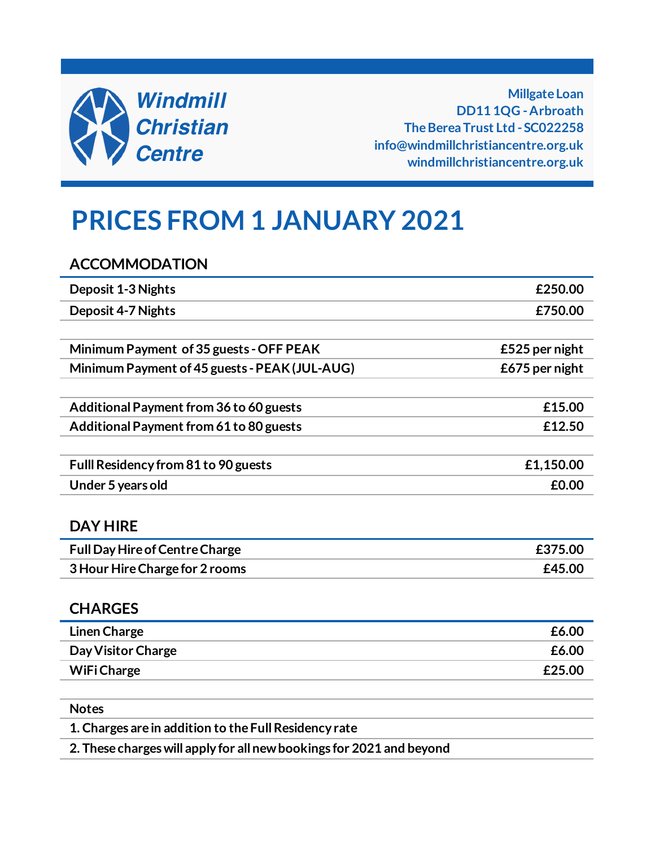

**Millgate Loan DD11 1QG - Arbroath The Berea Trust Ltd - SC022258 info@windmillchristiancentre.org.uk windmillchristiancentre.org.uk**

# **PRICES FROM 1 JANUARY 2021**

**ACCOMMODATION**

| <b>Deposit 1-3 Nights</b>                     | £250.00        |
|-----------------------------------------------|----------------|
| <b>Deposit 4-7 Nights</b>                     | £750.00        |
|                                               |                |
| Minimum Payment of 35 guests - OFF PEAK       | £525 per night |
| Minimum Payment of 45 guests - PEAK (JUL-AUG) | £675 per night |
|                                               |                |
| Additional Payment from 36 to 60 guests       | £15.00         |
| Additional Payment from 61 to 80 guests       | £12.50         |
|                                               |                |
| Fulll Residency from 81 to 90 guests          | £1,150.00      |
| Under 5 years old                             | £0.00          |
|                                               |                |
| <b>DAY HIRE</b>                               |                |
| <b>Full Day Hire of Centre Charge</b>         | £375.00        |
| 3 Hour Hire Charge for 2 rooms                | £45.00         |
|                                               |                |
| <b>CHARGES</b>                                |                |
| <b>Linen Charge</b>                           | £6.00          |
| Day Visitor Charge                            | £6.00          |
| <b>WiFi Charge</b>                            | £25.00         |

**Notes**

**1. Charges are in addition to the Full Residency rate**

**2. These charges will apply for all new bookings for 2021 and beyond**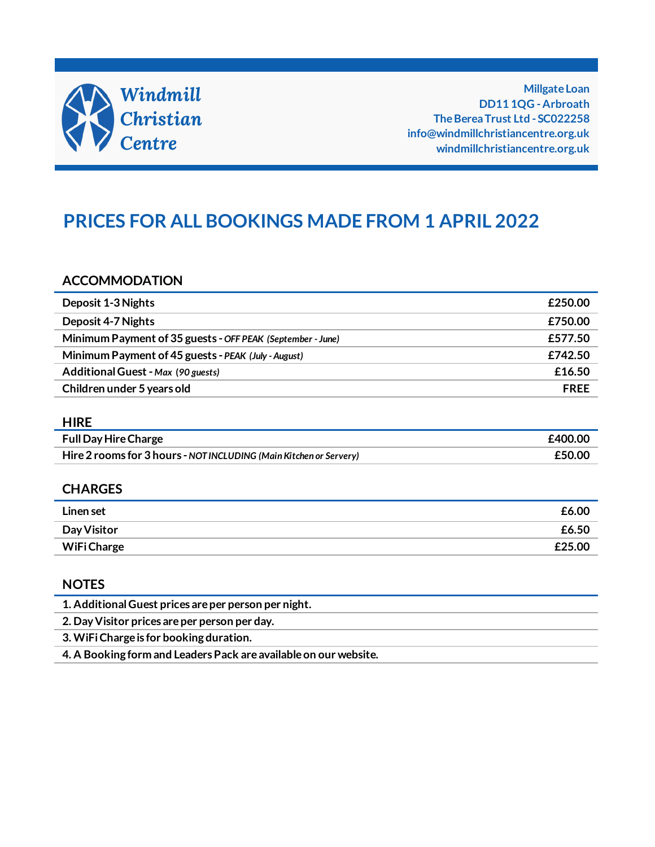

**Millgate Loan DD11 1QG - Arbroath The Berea Trust Ltd - SC022258 info@windmillchristiancentre.org.uk windmillchristiancentre.org.uk**

## **PRICES FOR ALL BOOKINGS MADE FROM 1 APRIL 2022**

#### **ACCOMMODATION**

| Deposit 1-3 Nights                                         | £250.00     |
|------------------------------------------------------------|-------------|
| Deposit 4-7 Nights                                         | £750.00     |
| Minimum Payment of 35 guests - OFF PEAK (September - June) | £577.50     |
| Minimum Payment of 45 guests - PEAK (July - August)        | £742.50     |
| Additional Guest - Max (90 guests)                         | £16.50      |
| Children under 5 years old                                 | <b>FREE</b> |

#### **HIRE**

| <b>Full Day Hire Charge</b>                                        | £400.00 |
|--------------------------------------------------------------------|---------|
| Hire 2 rooms for 3 hours - NOT INCLUDING (Main Kitchen or Servery) | £50.00  |

#### **CHARGES**

| Linen set   | £6.00  |
|-------------|--------|
| Day Visitor | £6.50  |
| WiFi Charge | £25.00 |

#### **NOTES**

| 1. Additional Guest prices are per person per night.             |
|------------------------------------------------------------------|
| 2. Day Visitor prices are per person per day.                    |
| 3. WiFi Charge is for booking duration.                          |
| 4. A Booking form and Leaders Pack are available on our website. |